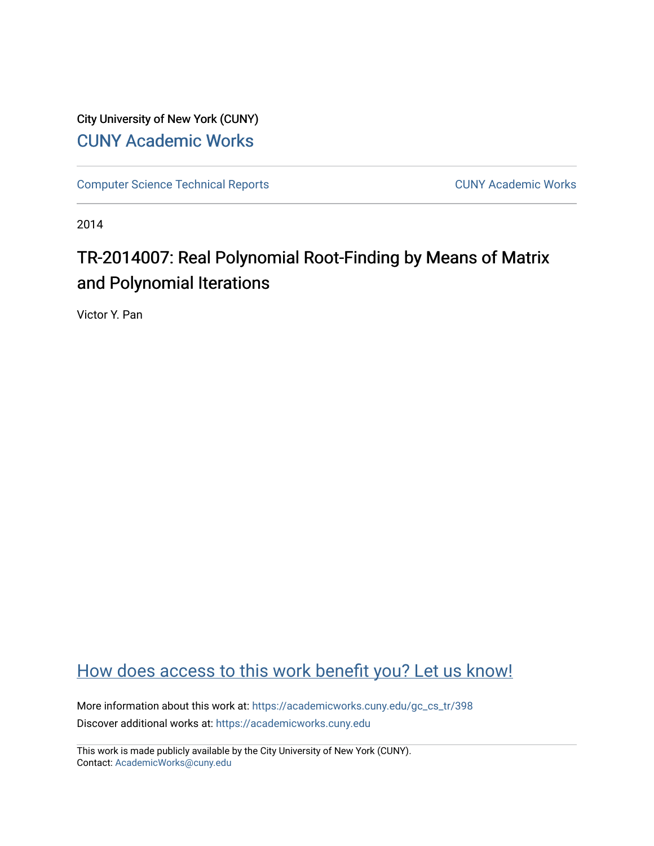City University of New York (CUNY) [CUNY Academic Works](https://academicworks.cuny.edu/) 

[Computer Science Technical Reports](https://academicworks.cuny.edu/gc_cs_tr) **CUNY Academic Works** CUNY Academic Works

2014

# TR-2014007: Real Polynomial Root-Finding by Means of Matrix and Polynomial Iterations

Victor Y. Pan

## [How does access to this work benefit you? Let us know!](http://ols.cuny.edu/academicworks/?ref=https://academicworks.cuny.edu/gc_cs_tr/398)

More information about this work at: [https://academicworks.cuny.edu/gc\\_cs\\_tr/398](https://academicworks.cuny.edu/gc_cs_tr/398)  Discover additional works at: [https://academicworks.cuny.edu](https://academicworks.cuny.edu/?)

This work is made publicly available by the City University of New York (CUNY). Contact: [AcademicWorks@cuny.edu](mailto:AcademicWorks@cuny.edu)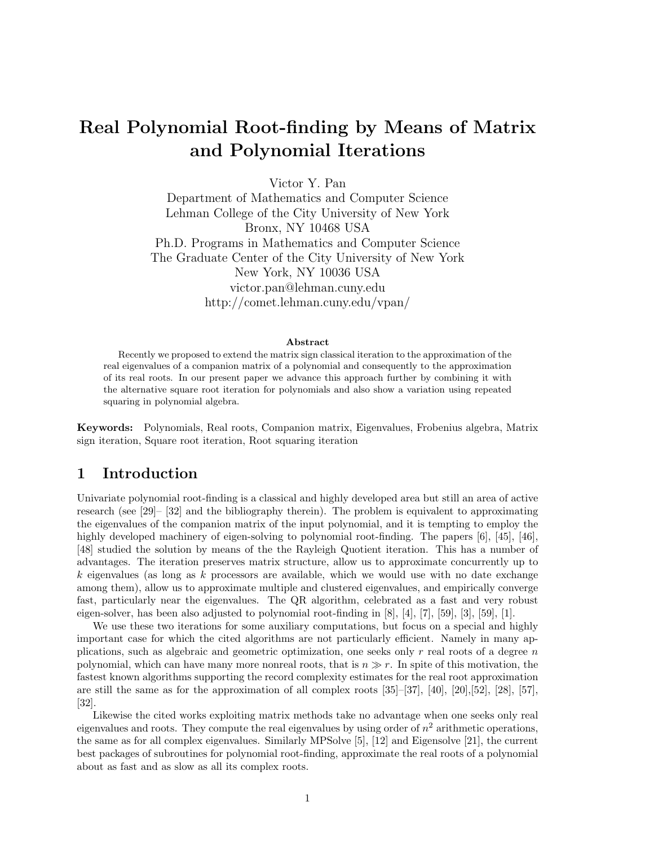## Real Polynomial Root-finding by Means of Matrix and Polynomial Iterations

Victor Y. Pan

Department of Mathematics and Computer Science Lehman College of the City University of New York Bronx, NY 10468 USA Ph.D. Programs in Mathematics and Computer Science The Graduate Center of the City University of New York New York, NY 10036 USA victor.pan@lehman.cuny.edu http://comet.lehman.cuny.edu/vpan/

#### Abstract

Recently we proposed to extend the matrix sign classical iteration to the approximation of the real eigenvalues of a companion matrix of a polynomial and consequently to the approximation of its real roots. In our present paper we advance this approach further by combining it with the alternative square root iteration for polynomials and also show a variation using repeated squaring in polynomial algebra.

Keywords: Polynomials, Real roots, Companion matrix, Eigenvalues, Frobenius algebra, Matrix sign iteration, Square root iteration, Root squaring iteration

### 1 Introduction

Univariate polynomial root-finding is a classical and highly developed area but still an area of active research (see [29]– [32] and the bibliography therein). The problem is equivalent to approximating the eigenvalues of the companion matrix of the input polynomial, and it is tempting to employ the highly developed machinery of eigen-solving to polynomial root-finding. The papers [6], [45], [46], [48] studied the solution by means of the the Rayleigh Quotient iteration. This has a number of advantages. The iteration preserves matrix structure, allow us to approximate concurrently up to  $k$  eigenvalues (as long as k processors are available, which we would use with no date exchange among them), allow us to approximate multiple and clustered eigenvalues, and empirically converge fast, particularly near the eigenvalues. The QR algorithm, celebrated as a fast and very robust eigen-solver, has been also adjusted to polynomial root-finding in [8], [4], [7], [59], [3], [59], [1].

We use these two iterations for some auxiliary computations, but focus on a special and highly important case for which the cited algorithms are not particularly efficient. Namely in many applications, such as algebraic and geometric optimization, one seeks only  $r$  real roots of a degree  $n$ polynomial, which can have many more nonreal roots, that is  $n \gg r$ . In spite of this motivation, the fastest known algorithms supporting the record complexity estimates for the real root approximation are still the same as for the approximation of all complex roots  $[35]-[37], [40], [20], [52], [28], [57],$ [32].

Likewise the cited works exploiting matrix methods take no advantage when one seeks only real eigenvalues and roots. They compute the real eigenvalues by using order of  $n^2$  arithmetic operations, the same as for all complex eigenvalues. Similarly MPSolve [5], [12] and Eigensolve [21], the current best packages of subroutines for polynomial root-finding, approximate the real roots of a polynomial about as fast and as slow as all its complex roots.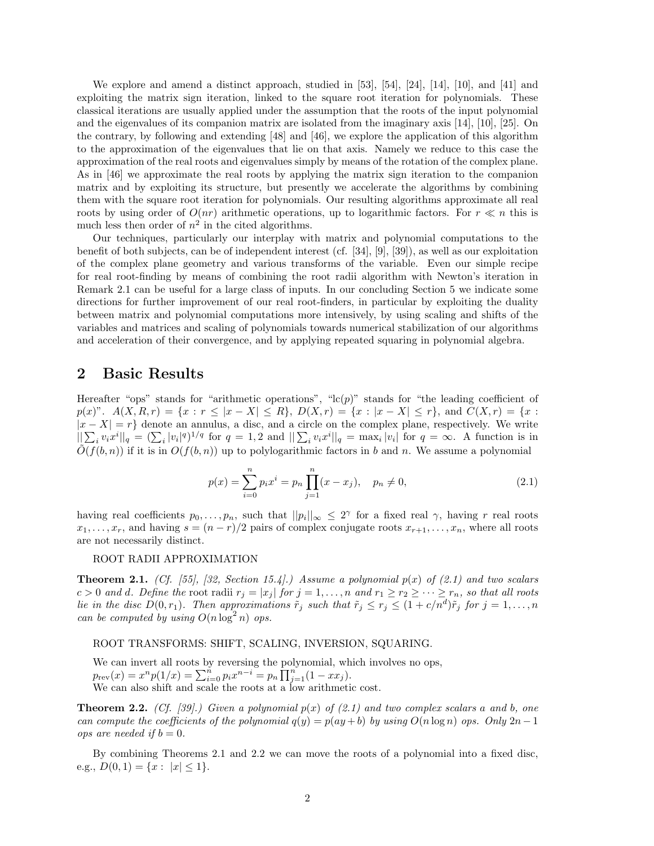We explore and amend a distinct approach, studied in [53], [54], [24], [14], [10], and [41] and exploiting the matrix sign iteration, linked to the square root iteration for polynomials. These classical iterations are usually applied under the assumption that the roots of the input polynomial and the eigenvalues of its companion matrix are isolated from the imaginary axis [14], [10], [25]. On the contrary, by following and extending [48] and [46], we explore the application of this algorithm to the approximation of the eigenvalues that lie on that axis. Namely we reduce to this case the approximation of the real roots and eigenvalues simply by means of the rotation of the complex plane. As in [46] we approximate the real roots by applying the matrix sign iteration to the companion matrix and by exploiting its structure, but presently we accelerate the algorithms by combining them with the square root iteration for polynomials. Our resulting algorithms approximate all real roots by using order of  $O(nr)$  arithmetic operations, up to logarithmic factors. For  $r \ll n$  this is much less then order of  $n^2$  in the cited algorithms.

Our techniques, particularly our interplay with matrix and polynomial computations to the benefit of both subjects, can be of independent interest (cf. [34], [9], [39]), as well as our exploitation of the complex plane geometry and various transforms of the variable. Even our simple recipe for real root-finding by means of combining the root radii algorithm with Newton's iteration in Remark 2.1 can be useful for a large class of inputs. In our concluding Section 5 we indicate some directions for further improvement of our real root-finders, in particular by exploiting the duality between matrix and polynomial computations more intensively, by using scaling and shifts of the variables and matrices and scaling of polynomials towards numerical stabilization of our algorithms and acceleration of their convergence, and by applying repeated squaring in polynomial algebra.

### 2 Basic Results

Hereafter "ops" stands for "arithmetic operations", " $lc(p)$ " stands for "the leading coefficient of  $p(x)$ ".  $A(X, R, r) = \{x : r \leq |x - X| \leq R\}, D(X, r) = \{x : |x - X| \leq r\}, \text{ and } C(X, r) = \{x : r \leq |x - X| \leq R\}$  $|x - X| = r$  denote an annulus, a disc, and a circle on the complex plane, respectively. We write  $||\sum_i v_i x^i||_q = (\sum_i |v_i|^q)^{1/q}$  for  $q = 1, 2$  and  $||\sum_i v_i x^i||_q = \max_i |v_i|$  for  $q = \infty$ . A function is in  $\tilde{O}(f(b,n))$  if it is in  $O(f(b,n))$  up to polylogarithmic factors in b and n. We assume a polynomial

$$
p(x) = \sum_{i=0}^{n} p_i x^i = p_n \prod_{j=1}^{n} (x - x_j), \quad p_n \neq 0,
$$
\n(2.1)

having real coefficients  $p_0, \ldots, p_n$ , such that  $||p_i||_{\infty} \leq 2^{\gamma}$  for a fixed real  $\gamma$ , having r real roots  $x_1, \ldots, x_r$ , and having  $s = (n - r)/2$  pairs of complex conjugate roots  $x_{r+1}, \ldots, x_n$ , where all roots are not necessarily distinct.

#### ROOT RADII APPROXIMATION

**Theorem 2.1.** (Cf. [55], [32, Section 15.4].) Assume a polynomial  $p(x)$  of (2.1) and two scalars  $c > 0$  and d. Define the root radii  $r_j = |x_j|$  for  $j = 1, \ldots, n$  and  $r_1 \ge r_2 \ge \cdots \ge r_n$ , so that all roots lie in the disc  $D(0,r_1)$ . Then approximations  $\tilde{r}_j$  such that  $\tilde{r}_j \le r_j \le (1+c/n^d)\tilde{r}_j$  for  $j=1,\ldots,n$ can be computed by using  $O(n \log^2 n)$  ops.

#### ROOT TRANSFORMS: SHIFT, SCALING, INVERSION, SQUARING.

We can invert all roots by reversing the polynomial, which involves no ops,  $p_{\text{rev}}(x) = x^n p(1/x) = \sum_{i=0}^n p_i x^{n-i} = p_n \prod_{j=1}^n (1 - xx_j).$ We can also shift and scale the roots at a low arithmetic cost.

**Theorem 2.2.** (Cf. [39].) Given a polynomial  $p(x)$  of (2.1) and two complex scalars a and b, one can compute the coefficients of the polynomial  $q(y) = p(ay + b)$  by using  $O(n \log n)$  ops. Only  $2n - 1$ ops are needed if  $b = 0$ .

By combining Theorems 2.1 and 2.2 we can move the roots of a polynomial into a fixed disc, e.g.,  $D(0,1) = \{x : |x| \leq 1\}.$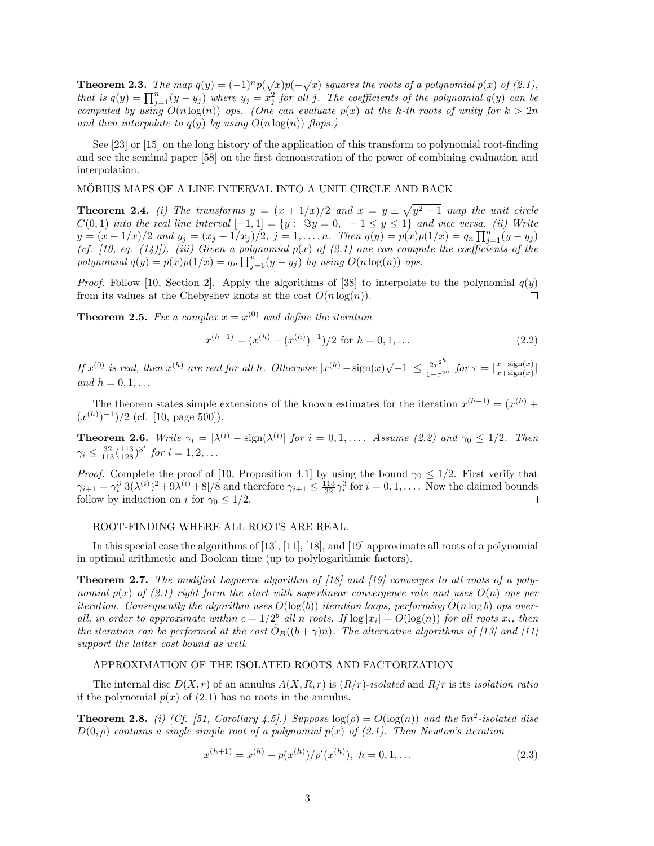**Theorem 2.3.** The map  $q(y) = (-1)^n p(\sqrt{x})p(-\sqrt{x})$  squares the roots of a polynomial  $p(x)$  of (2.1), that is  $q(y) = \prod_{j=1}^{n} (y - y_j)$  where  $y_j = x_j^2$  for all j. The coefficients of the polynomial  $q(y)$  can be computed by using  $O(n \log(n))$  ops. (One can evaluate  $p(x)$  at the k-th roots of unity for  $k > 2n$ and then interpolate to  $q(y)$  by using  $O(n \log(n))$  flops.

See [23] or [15] on the long history of the application of this transform to polynomial root-finding and see the seminal paper [58] on the first demonstration of the power of combining evaluation and interpolation.

### MÖBIUS MAPS OF A LINE INTERVAL INTO A UNIT CIRCLE AND BACK

**Theorem 2.4.** (i) The transforms  $y = (x + 1/x)/2$  and  $x = y \pm \sqrt{y^2 - 1}$  map the unit circle  $C(0,1)$  into the real line interval  $[-1,1] = \{y: \Im y = 0, -1 \le y \le 1\}$  and vice versa. (ii) Write  $y = (x + 1/x)/2$  and  $y_j = (x_j + 1/x_j)/2$ ,  $j = 1, ..., n$ . Then  $q(y) = p(x)p(1/x) = q_n \prod_{j=1}^{n} (y - y_j)$ (cf. [10, eq. (14)]). (iii) Given a polynomial  $p(x)$  of (2.1) one can compute the coefficients of the polynomial  $q(y) = p(x)p(1/x) = q_n \prod_{j=1}^n (y - y_j)$  by using  $O(n \log(n))$  ops.

*Proof.* Follow [10, Section 2]. Apply the algorithms of [38] to interpolate to the polynomial  $q(y)$ from its values at the Chebyshev knots at the cost  $O(n \log(n))$ .  $\Box$ 

**Theorem 2.5.** Fix a complex  $x = x^{(0)}$  and define the iteration

$$
x^{(h+1)} = (x^{(h)} - (x^{(h)})^{-1})/2 \text{ for } h = 0, 1, ...
$$
\n(2.2)

If  $x^{(0)}$  is real, then  $x^{(h)}$  are real for all h. Otherwise  $|x^{(h)} - \text{sign}(x)\sqrt{-1}| \leq \frac{2\tau^{2^h}}{1-\tau^2}$  $\frac{2\tau^{2^n}}{1-\tau^{2^h}}$  for  $\tau = \left|\frac{x-\text{sign}(x)}{x+\text{sign}(x)}\right|$  $\frac{x-\text{sign}(x)}{x+\text{sign}(x)}$ and  $h = 0, 1, \ldots$ 

The theorem states simple extensions of the known estimates for the iteration  $x^{(h+1)} = (x^{(h)} +$  $(x^{(h)})^{-1}$  $/2$  (cf. [10, page 500]).

**Theorem 2.6.** Write  $\gamma_i = |\lambda^{(i)} - \text{sign}(\lambda^{(i)})|$  for  $i = 0, 1, \ldots$  Assume (2.2) and  $\gamma_0 \leq 1/2$ . Then  $\gamma_i \leq \frac{32}{113} (\frac{113}{128})^{3^i}$  for  $i = 1, 2, \ldots$ 

*Proof.* Complete the proof of [10, Proposition 4.1] by using the bound  $\gamma_0 \leq 1/2$ . First verify that  $\gamma_{i+1} = \gamma_i^3 |3(\lambda^{(i)})^2 + 9\lambda^{(i)} + 8|/8$  and therefore  $\gamma_{i+1} \le \frac{113}{32} \gamma_i^3$  for  $i = 0, 1, \dots$  Now the claimed bounds follow by induction on i for  $\gamma_0 \leq 1/2$ .  $\Box$ 

### ROOT-FINDING WHERE ALL ROOTS ARE REAL.

In this special case the algorithms of [13], [11], [18], and [19] approximate all roots of a polynomial in optimal arithmetic and Boolean time (up to polylogarithmic factors).

**Theorem 2.7.** The modified Laguerre algorithm of [18] and [19] converges to all roots of a polynomial  $p(x)$  of (2.1) right form the start with superlinear convergence rate and uses  $O(n)$  ops per iteration. Consequently the algorithm uses  $O(\log(b))$  iteration loops, performing  $\tilde{O}(n \log b)$  ops overall, in order to approximate within  $\epsilon = 1/2^b$  all n roots. If  $\log |x_i| = O(\log(n))$  for all roots  $x_i$ , then the iteration can be performed at the cost  $\tilde{O}_B((b + \gamma)n)$ . The alternative algorithms of [13] and [11] support the latter cost bound as well.

#### APPROXIMATION OF THE ISOLATED ROOTS AND FACTORIZATION

The internal disc  $D(X, r)$  of an annulus  $A(X, R, r)$  is  $(R/r)$ -isolated and  $R/r$  is its isolation ratio if the polynomial  $p(x)$  of  $(2.1)$  has no roots in the annulus.

**Theorem 2.8.** (i) (Cf. [51, Corollary 4.5].) Suppose  $log(\rho) = O(log(n))$  and the  $5n^2$ -isolated disc  $D(0, \rho)$  contains a single simple root of a polynomial  $p(x)$  of (2.1). Then Newton's iteration

$$
x^{(h+1)} = x^{(h)} - p(x^{(h)})/p'(x^{(h)}), \quad h = 0, 1, \dots
$$
\n(2.3)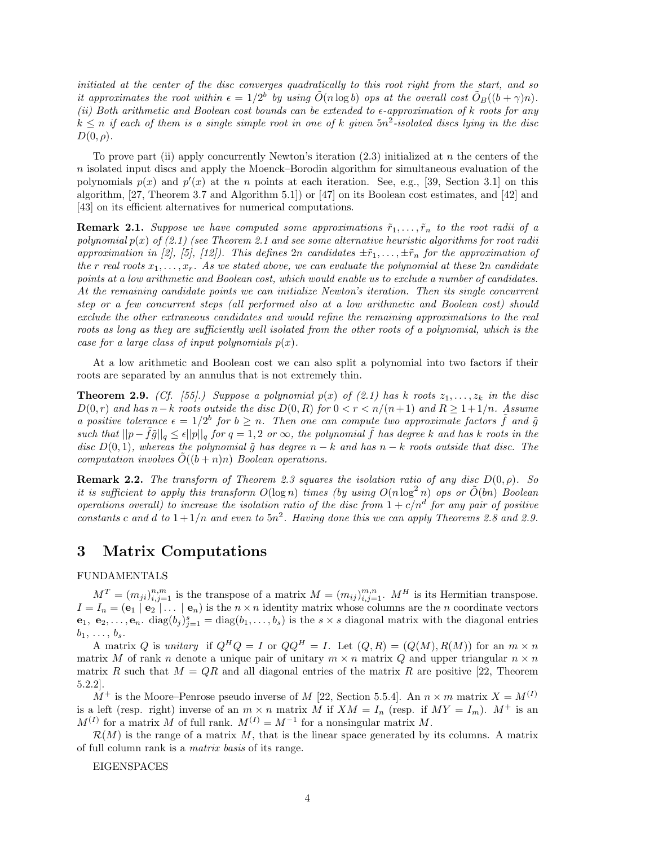initiated at the center of the disc converges quadratically to this root right from the start, and so it approximates the root within  $\epsilon = 1/2^b$  by using  $\tilde{O}(n \log b)$  ops at the overall cost  $\tilde{O}_B((b + \gamma)n)$ . (ii) Both arithmetic and Boolean cost bounds can be extended to  $\epsilon$ -approximation of k roots for any  $k \leq n$  if each of them is a single simple root in one of k given  $5n^2$ -isolated discs lying in the disc  $D(0,\rho).$ 

To prove part (ii) apply concurrently Newton's iteration  $(2.3)$  initialized at n the centers of the  $n$  isolated input discs and apply the Moenck–Borodin algorithm for simultaneous evaluation of the polynomials  $p(x)$  and  $p'(x)$  at the *n* points at each iteration. See, e.g., [39, Section 3.1] on this algorithm, [27, Theorem 3.7 and Algorithm 5.1]) or [47] on its Boolean cost estimates, and [42] and [43] on its efficient alternatives for numerical computations.

**Remark 2.1.** Suppose we have computed some approximations  $\tilde{r}_1, \ldots, \tilde{r}_n$  to the root radii of a polynomial  $p(x)$  of (2.1) (see Theorem 2.1 and see some alternative heuristic algorithms for root radii approximation in [2], [5], [12]). This defines  $2n$  candidates  $\pm \tilde{r}_1, \ldots, \pm \tilde{r}_n$  for the approximation of the r real roots  $x_1, \ldots, x_r$ . As we stated above, we can evaluate the polynomial at these  $2n$  candidate points at a low arithmetic and Boolean cost, which would enable us to exclude a number of candidates. At the remaining candidate points we can initialize Newton's iteration. Then its single concurrent step or a few concurrent steps (all performed also at a low arithmetic and Boolean cost) should exclude the other extraneous candidates and would refine the remaining approximations to the real roots as long as they are sufficiently well isolated from the other roots of a polynomial, which is the case for a large class of input polynomials  $p(x)$ .

At a low arithmetic and Boolean cost we can also split a polynomial into two factors if their roots are separated by an annulus that is not extremely thin.

**Theorem 2.9.** (Cf. [55].) Suppose a polynomial  $p(x)$  of (2.1) has k roots  $z_1, \ldots, z_k$  in the disc  $D(0,r)$  and has n–k roots outside the disc  $D(0,R)$  for  $0 < r < n/(n+1)$  and  $R \geq 1+1/n$ . Assume a positive tolerance  $\epsilon = 1/2^b$  for  $b \geq n$ . Then one can compute two approximate factors  $\tilde{f}$  and  $\tilde{g}$ such that  $||p - \tilde{f}\tilde{g}||_q \leq \epsilon ||p||_q$  for  $q = 1, 2$  or  $\infty$ , the polynomial  $\tilde{f}$  has degree k and has k roots in the disc  $D(0, 1)$ , whereas the polynomial  $\tilde{g}$  has degree  $n - k$  and has  $n - k$  roots outside that disc. The computation involves  $O((b+n)n)$  Boolean operations.

**Remark 2.2.** The transform of Theorem 2.3 squares the isolation ratio of any disc  $D(0, \rho)$ . So it is sufficient to apply this transform  $O(\log n)$  times (by using  $O(n \log^2 n)$  ops or  $O(bn)$  Boolean operations overall) to increase the isolation ratio of the disc from  $1 + c/n^d$  for any pair of positive constants c and d to  $1+1/n$  and even to  $5n^2$ . Having done this we can apply Theorems 2.8 and 2.9.

### 3 Matrix Computations

### FUNDAMENTALS

 $M^T = (m_{ji})_{i,j=1}^{n,m}$  is the transpose of a matrix  $M = (m_{ij})_{i,j=1}^{m,n}$ .  $M^H$  is its Hermitian transpose.  $I = I_n = (e_1 \mid e_2 \mid \dots \mid e_n)$  is the  $n \times n$  identity matrix whose columns are the n coordinate vectors  $\mathbf{e}_1, \ \mathbf{e}_2, \ldots, \mathbf{e}_n$ .  $\text{diag}(b_j)_{j=1}^s = \text{diag}(b_1, \ldots, b_s)$  is the  $s \times s$  diagonal matrix with the diagonal entries  $b_1, \ldots, b_s.$ 

A matrix Q is unitary if  $Q^H Q = I$  or  $QQ^H = I$ . Let  $(Q, R) = (Q(M), R(M))$  for an  $m \times n$ matrix M of rank n denote a unique pair of unitary  $m \times n$  matrix Q and upper triangular  $n \times n$ matrix R such that  $M = QR$  and all diagonal entries of the matrix R are positive [22, Theorem 5.2.2].

 $M^+$  is the Moore–Penrose pseudo inverse of M [22, Section 5.5.4]. An  $n \times m$  matrix  $X = M^{(I)}$ is a left (resp. right) inverse of an  $m \times n$  matrix M if  $XM = I_n$  (resp. if  $MY = I_m$ ).  $M^+$  is an  $M^{(I)}$  for a matrix M of full rank.  $M^{(I)} = M^{-1}$  for a nonsingular matrix M.

 $\mathcal{R}(M)$  is the range of a matrix M, that is the linear space generated by its columns. A matrix of full column rank is a matrix basis of its range.

EIGENSPACES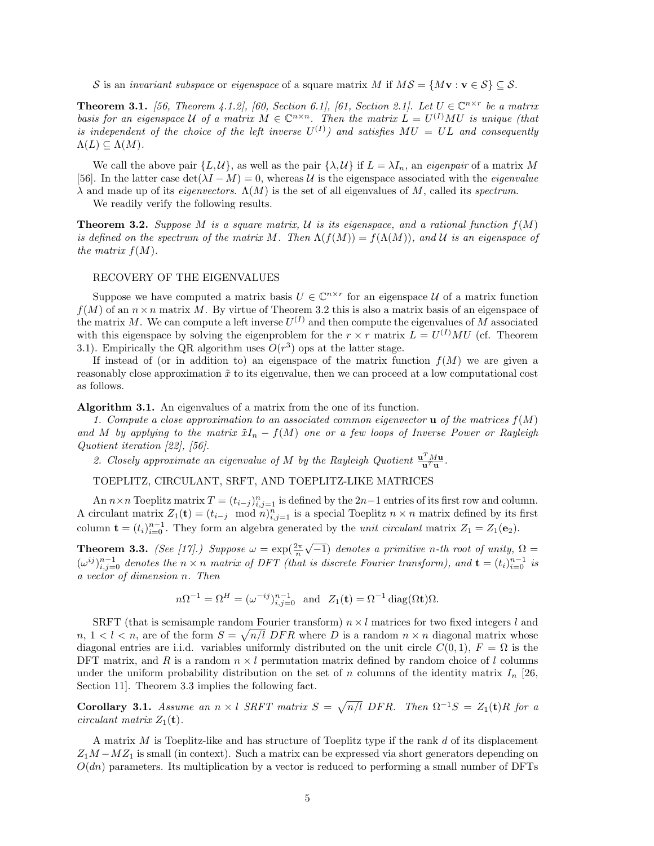S is an *invariant subspace* or *eigenspace* of a square matrix M if  $MS = \{Mv : v \in S\} \subseteq S$ .

**Theorem 3.1.** [56, Theorem 4.1.2], [60, Section 6.1], [61, Section 2.1]. Let  $U \in \mathbb{C}^{n \times r}$  be a matrix basis for an eigenspace U of a matrix  $M \in \mathbb{C}^{n \times n}$ . Then the matrix  $L = U^{(I)}MU$  is unique (that is independent of the choice of the left inverse  $U^{(I)}$ ) and satisfies  $MU = UL$  and consequently  $\Lambda(L) \subseteq \Lambda(M)$ .

We call the above pair  $\{L, \mathcal{U}\}\)$ , as well as the pair  $\{\lambda, \mathcal{U}\}\$  if  $L = \lambda I_n$ , an *eigenpair* of a matrix M [56]. In the latter case  $\det(\lambda I - M) = 0$ , whereas U is the eigenspace associated with the *eigenvalue*  $\lambda$  and made up of its *eigenvectors.*  $\Lambda(M)$  is the set of all eigenvalues of M, called its *spectrum*.

We readily verify the following results.

**Theorem 3.2.** Suppose M is a square matrix, U is its eigenspace, and a rational function  $f(M)$ is defined on the spectrum of the matrix M. Then  $\Lambda(f(M)) = f(\Lambda(M))$ , and U is an eigenspace of the matrix  $f(M)$ .

### RECOVERY OF THE EIGENVALUES

Suppose we have computed a matrix basis  $U \in \mathbb{C}^{n \times r}$  for an eigenspace U of a matrix function  $f(M)$  of an  $n \times n$  matrix M. By virtue of Theorem 3.2 this is also a matrix basis of an eigenspace of the matrix M. We can compute a left inverse  $U^{(I)}$  and then compute the eigenvalues of M associated with this eigenspace by solving the eigenproblem for the  $r \times r$  matrix  $L = U^{(I)}MU$  (cf. Theorem 3.1). Empirically the QR algorithm uses  $O(r^3)$  ops at the latter stage.

If instead of (or in addition to) an eigenspace of the matrix function  $f(M)$  we are given a reasonably close approximation  $\tilde{x}$  to its eigenvalue, then we can proceed at a low computational cost as follows.

Algorithm 3.1. An eigenvalues of a matrix from the one of its function.

1. Compute a close approximation to an associated common eigenvector  $\bf{u}$  of the matrices  $f(M)$ and M by applying to the matrix  $\tilde{x}I_n - f(M)$  one or a few loops of Inverse Power or Rayleigh Quotient iteration [22], [56].

2. Closely approximate an eigenvalue of M by the Rayleigh Quotient  $\frac{\mathbf{u}^T M \mathbf{u}}{\mathbf{u}^T \mathbf{u}}$ .

TOEPLITZ, CIRCULANT, SRFT, AND TOEPLITZ-LIKE MATRICES

An  $n \times n$  Toeplitz matrix  $T = (t_{i-j})_{i,j=1}^n$  is defined by the  $2n-1$  entries of its first row and column. A circulant matrix  $Z_1(\mathbf{t}) = (t_{i-j} \mod n)_{i,j=1}^n$  is a special Toeplitz  $n \times n$  matrix defined by its first column  $\mathbf{t} = (t_i)_{i=0}^{n-1}$ . They form an algebra generated by the *unit circulant* matrix  $Z_1 = Z_1(\mathbf{e}_2)$ .

**Theorem 3.3.** (See [17].) Suppose  $\omega = \exp(\frac{2\pi}{n})$  $\sqrt{-1}$ ) denotes a primitive n-th root of unity,  $\Omega =$  $(\omega^{ij})_{i,j=0}^{n-1}$  denotes the  $n \times n$  matrix of DFT (that is discrete Fourier transform), and  $\mathbf{t} = (t_i)_{i=0}^{n-1}$  is a vector of dimension n. Then

 $n\Omega^{-1} = \Omega^H = (\omega^{-ij})_{i,j=0}^{n-1}$  and  $Z_1(\mathbf{t}) = \Omega^{-1} \operatorname{diag}(\Omega \mathbf{t}) \Omega$ .

SRFT (that is semisample random Fourier transform)  $n \times l$  matrices for two fixed integers l and  $n, 1 < l < n$ , are of the form  $S = \sqrt{n/l}$  DFR where D is a random  $n \times n$  diagonal matrix whose diagonal entries are i.i.d. variables uniformly distributed on the unit circle  $C(0, 1)$ ,  $F = \Omega$  is the DFT matrix, and R is a random  $n \times l$  permutation matrix defined by random choice of l columns under the uniform probability distribution on the set of n columns of the identity matrix  $I_n$  [26, Section 11]. Theorem 3.3 implies the following fact.

**Corollary 3.1.** Assume an  $n \times l$  SRFT matrix  $S = \sqrt{n/l}$  DFR. Then  $\Omega^{-1}S = Z_1(\mathbf{t})R$  for a circulant matrix  $Z_1(\mathbf{t})$ .

A matrix  $M$  is Toeplitz-like and has structure of Toeplitz type if the rank  $d$  of its displacement  $Z_1M - MZ_1$  is small (in context). Such a matrix can be expressed via short generators depending on  $O(dn)$  parameters. Its multiplication by a vector is reduced to performing a small number of DFTs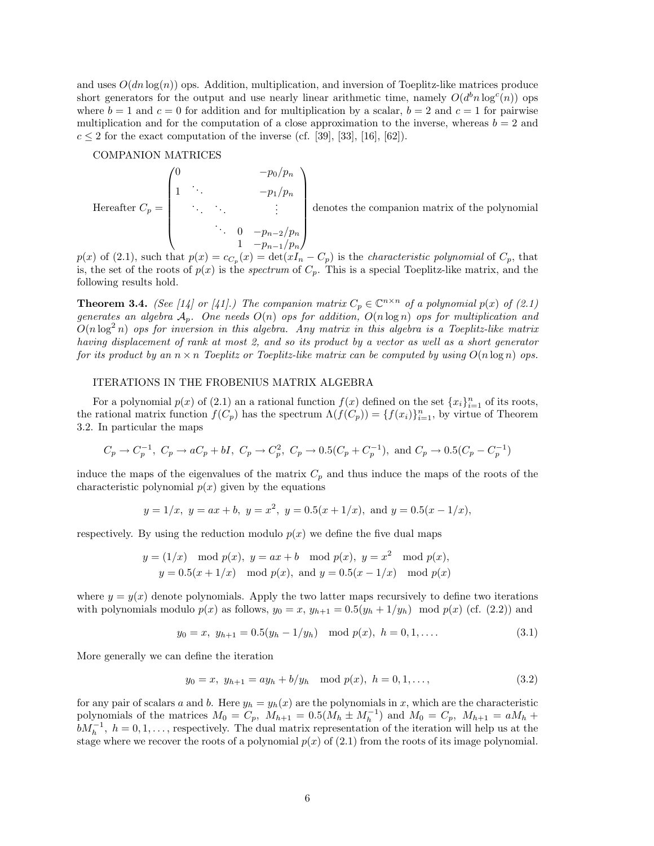and uses  $O(dn \log(n))$  ops. Addition, multiplication, and inversion of Toeplitz-like matrices produce short generators for the output and use nearly linear arithmetic time, namely  $O(d^b n \log^c(n))$  ops where  $b = 1$  and  $c = 0$  for addition and for multiplication by a scalar,  $b = 2$  and  $c = 1$  for pairwise multiplication and for the computation of a close approximation to the inverse, whereas  $b = 2$  and  $c \leq 2$  for the exact computation of the inverse (cf. [39], [33], [16], [62]).

#### COMPANION MATRICES

Hereafter  $C_p =$  $\int_0^{\infty}$  -po/p<sub>n</sub>  $\overline{\phantom{a}}$ 1  $\cdot \cdot$   $-p_1/p_n$ . . . . . . . . .  $\ddots$  0  $-p_{n-2}/p_n$  $1 - p_{n-1}/p_n$  $\setminus$  $\overline{\phantom{a}}$ 

denotes the companion matrix of the polynomial

 $p(x)$  of (2.1), such that  $p(x) = c_{C_p}(x) = \det(xI_n - C_p)$  is the *characteristic polynomial* of  $C_p$ , that is, the set of the roots of  $p(x)$  is the *spectrum* of  $C_p$ . This is a special Toeplitz-like matrix, and the following results hold.

**Theorem 3.4.** (See [14] or [41].) The companion matrix  $C_p \in \mathbb{C}^{n \times n}$  of a polynomial  $p(x)$  of (2.1) generates an algebra  $A_p$ . One needs  $O(n)$  ops for addition,  $O(n \log n)$  ops for multiplication and  $O(n \log^2 n)$  ops for inversion in this algebra. Any matrix in this algebra is a Toeplitz-like matrix having displacement of rank at most 2, and so its product by a vector as well as a short generator for its product by an  $n \times n$  Toeplitz or Toeplitz-like matrix can be computed by using  $O(n \log n)$  ops.

### ITERATIONS IN THE FROBENIUS MATRIX ALGEBRA

For a polynomial  $p(x)$  of (2.1) an a rational function  $f(x)$  defined on the set  $\{x_i\}_{i=1}^n$  of its roots, the rational matrix function  $f(C_p)$  has the spectrum  $\Lambda(f(C_p)) = \{f(x_i)\}_{i=1}^n$ , by virtue of Theorem 3.2. In particular the maps

$$
C_p \to C_p^{-1}
$$
,  $C_p \to aC_p + bI$ ,  $C_p \to C_p^2$ ,  $C_p \to 0.5(C_p + C_p^{-1})$ , and  $C_p \to 0.5(C_p - C_p^{-1})$ 

induce the maps of the eigenvalues of the matrix  $C_p$  and thus induce the maps of the roots of the characteristic polynomial  $p(x)$  given by the equations

$$
y = 1/x
$$
,  $y = ax + b$ ,  $y = x^2$ ,  $y = 0.5(x + 1/x)$ , and  $y = 0.5(x - 1/x)$ ,

respectively. By using the reduction modulo  $p(x)$  we define the five dual maps

$$
y = (1/x) \mod p(x), y = ax + b \mod p(x), y = x^2 \mod p(x),
$$
  
 $y = 0.5(x + 1/x) \mod p(x), \text{ and } y = 0.5(x - 1/x) \mod p(x)$ 

where  $y = y(x)$  denote polynomials. Apply the two latter maps recursively to define two iterations with polynomials modulo  $p(x)$  as follows,  $y_0 = x$ ,  $y_{h+1} = 0.5(y_h + 1/y_h) \mod p(x)$  (cf. (2.2)) and

$$
y_0 = x, y_{h+1} = 0.5(y_h - 1/y_h) \mod p(x), h = 0, 1, ....
$$
 (3.1)

More generally we can define the iteration

$$
y_0 = x, y_{h+1} = ay_h + b/y_h \mod p(x), h = 0, 1, ...,
$$
 (3.2)

for any pair of scalars a and b. Here  $y_h = y_h(x)$  are the polynomials in x, which are the characteristic polynomials of the matrices  $M_0 = C_p$ ,  $M_{h+1} = 0.5(M_h \pm M_h^{-1})$  and  $M_0 = C_p$ ,  $M_{h+1} = aM_h +$  $bM_h^{-1}$ ,  $h = 0, 1, \ldots$ , respectively. The dual matrix representation of the iteration will help us at the stage where we recover the roots of a polynomial  $p(x)$  of (2.1) from the roots of its image polynomial.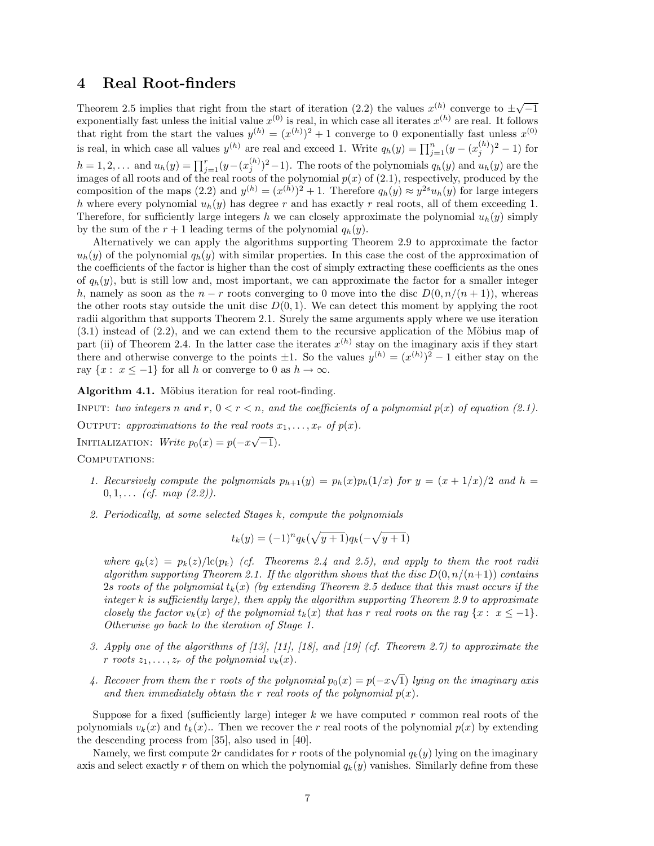### 4 Real Root-finders

Theorem 2.5 implies that right from the start of iteration (2.2) the values  $x^{(h)}$  converge to  $\pm \sqrt{-1}$ exponentially fast unless the initial value  $x^{(0)}$  is real, in which case all iterates  $x^{(h)}$  are real. It follows that right from the start the values  $y^{(h)} = (x^{(h)})^2 + 1$  converge to 0 exponentially fast unless  $x^{(0)}$ is real, in which case all values  $y^{(h)}$  are real and exceed 1. Write  $q_h(y) = \prod_{j=1}^n (y - (x_j^{(h)})^2 - 1)$  for  $h=1,2,...$  and  $u_h(y)=\prod_{j=1}^r(y-(x_j^{(h)})^2-1)$ . The roots of the polynomials  $q_h(y)$  and  $u_h(y)$  are the images of all roots and of the real roots of the polynomial  $p(x)$  of  $(2.1)$ , respectively, produced by the composition of the maps (2.2) and  $y^{(h)} = (x^{(h)})^2 + 1$ . Therefore  $q_h(y) \approx y^{2s} u_h(y)$  for large integers h where every polynomial  $u_h(y)$  has degree r and has exactly r real roots, all of them exceeding 1. Therefore, for sufficiently large integers h we can closely approximate the polynomial  $u_h(y)$  simply by the sum of the  $r + 1$  leading terms of the polynomial  $q_h(y)$ .

Alternatively we can apply the algorithms supporting Theorem 2.9 to approximate the factor  $u_h(y)$  of the polynomial  $q_h(y)$  with similar properties. In this case the cost of the approximation of the coefficients of the factor is higher than the cost of simply extracting these coefficients as the ones of  $q_h(y)$ , but is still low and, most important, we can approximate the factor for a smaller integer h, namely as soon as the  $n - r$  roots converging to 0 move into the disc  $D(0, n/(n+1))$ , whereas the other roots stay outside the unit disc  $D(0, 1)$ . We can detect this moment by applying the root radii algorithm that supports Theorem 2.1. Surely the same arguments apply where we use iteration  $(3.1)$  instead of  $(2.2)$ , and we can extend them to the recursive application of the Möbius map of part (ii) of Theorem 2.4. In the latter case the iterates  $x^{(h)}$  stay on the imaginary axis if they start there and otherwise converge to the points  $\pm 1$ . So the values  $y^{(h)} = (x^{(h)})^2 - 1$  either stay on the ray  $\{x: x \le -1\}$  for all h or converge to 0 as  $h \to \infty$ .

Algorithm 4.1. Möbius iteration for real root-finding.

INPUT: two integers n and r,  $0 < r < n$ , and the coefficients of a polynomial  $p(x)$  of equation (2.1). OUTPUT: approximations to the real roots  $x_1, \ldots, x_r$  of  $p(x)$ . INITIALIZATION:  $Write p_0(x) = p(-x\sqrt{-1}).$ 

COMPUTATIONS:

- 1. Recursively compute the polynomials  $p_{h+1}(y) = p_h(x)p_h(1/x)$  for  $y = (x + 1/x)/2$  and  $h =$  $0, 1, \ldots$  (cf. map  $(2.2)$ ).
- 2. Periodically, at some selected Stages k, compute the polynomials

$$
t_k(y) = (-1)^n q_k(\sqrt{y+1})q_k(-\sqrt{y+1})
$$

where  $q_k(z) = p_k(z)/\text{lc}(p_k)$  (cf. Theorems 2.4 and 2.5), and apply to them the root radii algorithm supporting Theorem 2.1. If the algorithm shows that the disc  $D(0, n/(n+1))$  contains 2s roots of the polynomial  $t_k(x)$  (by extending Theorem 2.5 deduce that this must occurs if the integer  $k$  is sufficiently large), then apply the algorithm supporting Theorem 2.9 to approximate closely the factor  $v_k(x)$  of the polynomial  $t_k(x)$  that has r real roots on the ray  $\{x: x \leq -1\}$ . Otherwise go back to the iteration of Stage 1.

- 3. Apply one of the algorithms of [13], [11], [18], and [19] (cf. Theorem 2.7) to approximate the r roots  $z_1, \ldots, z_r$  of the polynomial  $v_k(x)$ .
- 4. Recover from them the r roots of the polynomial  $p_0(x) = p(-x)$ √ 1) lying on the imaginary axis and then immediately obtain the r real roots of the polynomial  $p(x)$ .

Suppose for a fixed (sufficiently large) integer  $k$  we have computed r common real roots of the polynomials  $v_k(x)$  and  $t_k(x)$ .. Then we recover the r real roots of the polynomial  $p(x)$  by extending the descending process from [35], also used in [40].

Namely, we first compute 2r candidates for r roots of the polynomial  $q_k(y)$  lying on the imaginary axis and select exactly r of them on which the polynomial  $q_k(y)$  vanishes. Similarly define from these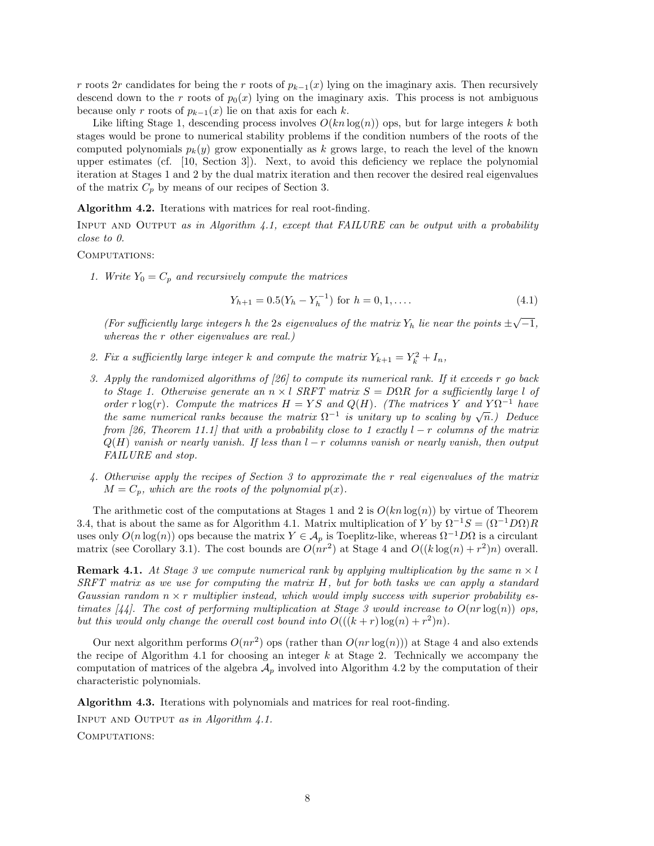r roots 2r candidates for being the r roots of  $p_{k-1}(x)$  lying on the imaginary axis. Then recursively descend down to the r roots of  $p_0(x)$  lying on the imaginary axis. This process is not ambiguous because only r roots of  $p_{k-1}(x)$  lie on that axis for each k.

Like lifting Stage 1, descending process involves  $O(kn \log(n))$  ops, but for large integers k both stages would be prone to numerical stability problems if the condition numbers of the roots of the computed polynomials  $p_k(y)$  grow exponentially as k grows large, to reach the level of the known upper estimates (cf. [10, Section 3]). Next, to avoid this deficiency we replace the polynomial iteration at Stages 1 and 2 by the dual matrix iteration and then recover the desired real eigenvalues of the matrix  $C_p$  by means of our recipes of Section 3.

Algorithm 4.2. Iterations with matrices for real root-finding.

INPUT AND OUTPUT as in Algorithm  $4.1$ , except that FAILURE can be output with a probability close to 0.

### COMPUTATIONS:

1. Write  $Y_0 = C_p$  and recursively compute the matrices

$$
Y_{h+1} = 0.5(Y_h - Y_h^{-1}) \text{ for } h = 0, 1, \dots
$$
 (4.1)

(For sufficiently large integers h the 2s eigenvalues of the matrix  $Y_h$  lie near the points  $\pm \sqrt{-1}$ , whereas the r other eigenvalues are real.)

- 2. Fix a sufficiently large integer k and compute the matrix  $Y_{k+1} = Y_k^2 + I_n$ ,
- 3. Apply the randomized algorithms of [26] to compute its numerical rank. If it exceeds r go back to Stage 1. Otherwise generate an  $n \times l$  SRFT matrix  $S = D\Omega R$  for a sufficiently large l of order r log(r). Compute the matrices  $H = YS$  and  $Q(H)$ . (The matrices Y and  $Y\Omega^{-1}$  have order r log(r). Compute the matrices  $H = I S$  and  $Q(H)$ . (The matrices I and I st have<br>the same numerical ranks because the matrix  $\Omega^{-1}$  is unitary up to scaling by  $\sqrt{n}$ .) Deduce from [26, Theorem 11.1] that with a probability close to 1 exactly  $l - r$  columns of the matrix  $Q(H)$  vanish or nearly vanish. If less than  $l - r$  columns vanish or nearly vanish, then output FAILURE and stop.
- 4. Otherwise apply the recipes of Section 3 to approximate the r real eigenvalues of the matrix  $M = C_p$ , which are the roots of the polynomial  $p(x)$ .

The arithmetic cost of the computations at Stages 1 and 2 is  $O(kn \log(n))$  by virtue of Theorem 3.4, that is about the same as for Algorithm 4.1. Matrix multiplication of Y by  $\Omega^{-1}S = (\Omega^{-1}D\Omega)R$ uses only  $O(n \log(n))$  ops because the matrix  $Y \in A_p$  is Toeplitz-like, whereas  $\Omega^{-1}D\Omega$  is a circulant matrix (see Corollary 3.1). The cost bounds are  $O(nr^2)$  at Stage 4 and  $O((k \log(n) + r^2)n)$  overall.

**Remark 4.1.** At Stage 3 we compute numerical rank by applying multiplication by the same  $n \times l$  $S\!R\!F\!T$  matrix as we use for computing the matrix H, but for both tasks we can apply a standard Gaussian random  $n \times r$  multiplier instead, which would imply success with superior probability estimates [44]. The cost of performing multiplication at Stage 3 would increase to  $O(nr \log(n))$  ops, but this would only change the overall cost bound into  $O(((k+r) \log(n) + r^2)n)$ .

Our next algorithm performs  $O(nr^2)$  ops (rather than  $O(nr \log(n))$ ) at Stage 4 and also extends the recipe of Algorithm 4.1 for choosing an integer  $k$  at Stage 2. Technically we accompany the computation of matrices of the algebra  $A_p$  involved into Algorithm 4.2 by the computation of their characteristic polynomials.

Algorithm 4.3. Iterations with polynomials and matrices for real root-finding.

Input and Output as in Algorithm 4.1. COMPUTATIONS: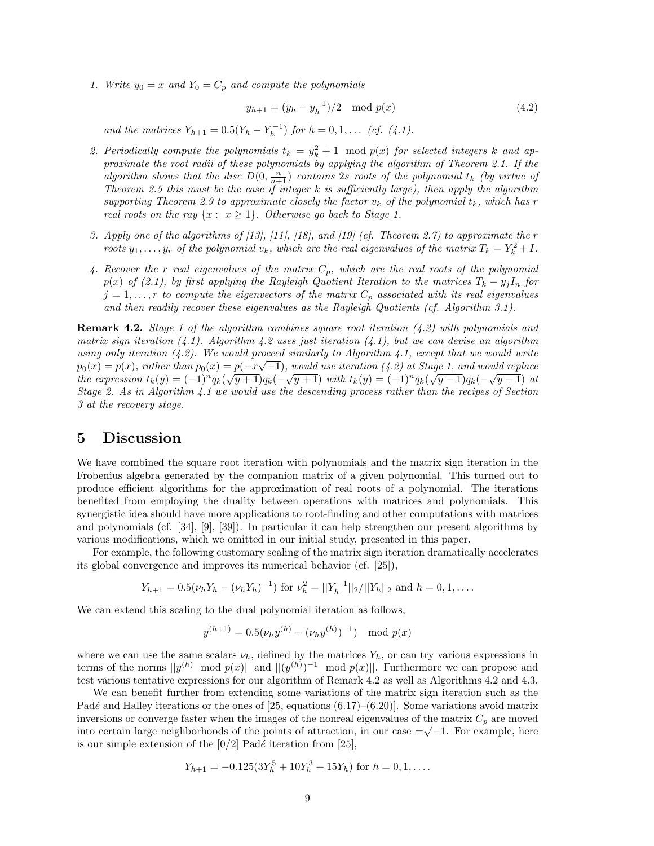1. Write  $y_0 = x$  and  $Y_0 = C_p$  and compute the polynomials

$$
y_{h+1} = (y_h - y_h^{-1})/2 \mod p(x) \tag{4.2}
$$

and the matrices  $Y_{h+1} = 0.5(Y_h - Y_h^{-1})$  for  $h = 0, 1, \ldots$  (cf. (4.1).

- 2. Periodically compute the polynomials  $t_k = y_k^2 + 1 \mod p(x)$  for selected integers k and approximate the root radii of these polynomials by applying the algorithm of Theorem 2.1. If the algorithm shows that the disc  $D(0, \frac{n}{n+1})$  contains 2s roots of the polynomial  $t_k$  (by virtue of Theorem 2.5 this must be the case if integer  $k$  is sufficiently large), then apply the algorithm supporting Theorem 2.9 to approximate closely the factor  $v_k$  of the polynomial  $t_k$ , which has r real roots on the ray  $\{x: x \geq 1\}$ . Otherwise go back to Stage 1.
- 3. Apply one of the algorithms of [13], [11], [18], and [19] (cf. Theorem 2.7) to approximate the r roots  $y_1, \ldots, y_r$  of the polynomial  $v_k$ , which are the real eigenvalues of the matrix  $T_k = Y_k^2 + I$ .
- 4. Recover the r real eigenvalues of the matrix  $C_p$ , which are the real roots of the polynomial  $p(x)$  of (2.1), by first applying the Rayleigh Quotient Iteration to the matrices  $T_k - y_j I_n$  for  $j = 1, \ldots, r$  to compute the eigenvectors of the matrix  $C_p$  associated with its real eigenvalues and then readily recover these eigenvalues as the Rayleigh Quotients (cf. Algorithm 3.1).

**Remark 4.2.** Stage 1 of the algorithm combines square root iteration  $(4.2)$  with polynomials and matrix sign iteration  $(4.1)$ . Algorithm 4.2 uses just iteration  $(4.1)$ , but we can devise an algorithm using only iteration  $(4.2)$ . We would proceed similarly to Algorithm 4.1, except that we would write using only iteration (4.2). We would proceed similarly to Algorithm 4.1, except that we would write  $p_0(x) = p(x)$ , rather than  $p_0(x) = p(-x\sqrt{-1})$ , would use iteration (4.2) at Stage 1, and would replace the expression  $t_k(y) = (-1)^n q_k(\sqrt{y+1})q_k(-\sqrt{y+1})$  with  $t_k(y) = (-1)^n q_k(\sqrt{y-1})q_k(-\sqrt{y-1})$  at Stage 2. As in Algorithm 4.1 we would use the descending process rather than the recipes of Section 3 at the recovery stage.

### 5 Discussion

We have combined the square root iteration with polynomials and the matrix sign iteration in the Frobenius algebra generated by the companion matrix of a given polynomial. This turned out to produce efficient algorithms for the approximation of real roots of a polynomial. The iterations benefited from employing the duality between operations with matrices and polynomials. This synergistic idea should have more applications to root-finding and other computations with matrices and polynomials (cf. [34], [9], [39]). In particular it can help strengthen our present algorithms by various modifications, which we omitted in our initial study, presented in this paper.

For example, the following customary scaling of the matrix sign iteration dramatically accelerates its global convergence and improves its numerical behavior (cf. [25]),

$$
Y_{h+1} = 0.5(\nu_h Y_h - (\nu_h Y_h)^{-1})
$$
 for  $\nu_h^2 = ||Y_h^{-1}||_2/||Y_h||_2$  and  $h = 0, 1, ...$ 

We can extend this scaling to the dual polynomial iteration as follows,

$$
y^{(h+1)} = 0.5(\nu_h y^{(h)} - (\nu_h y^{(h)})^{-1}) \mod p(x)
$$

where we can use the same scalars  $\nu_h$ , defined by the matrices  $Y_h$ , or can try various expressions in terms of the norms  $||y^{(h)} \mod p(x)||$  and  $||(y^{(h)})^{-1} \mod p(x)||$ . Furthermore we can propose and test various tentative expressions for our algorithm of Remark 4.2 as well as Algorithms 4.2 and 4.3.

We can benefit further from extending some variations of the matrix sign iteration such as the Padé and Halley iterations or the ones of [25, equations  $(6.17)-(6.20)$ ]. Some variations avoid matrix inversions or converge faster when the images of the nonreal eigenvalues of the matrix  $C_p$  are moved into certain large neighborhoods of the points of attraction, in our case  $\pm\sqrt{-1}$ . For example, here is our simple extension of the  $[0/2]$  Padé iteration from [25],

$$
Y_{h+1} = -0.125(3Y_h^5 + 10Y_h^3 + 15Y_h)
$$
 for  $h = 0, 1, \dots$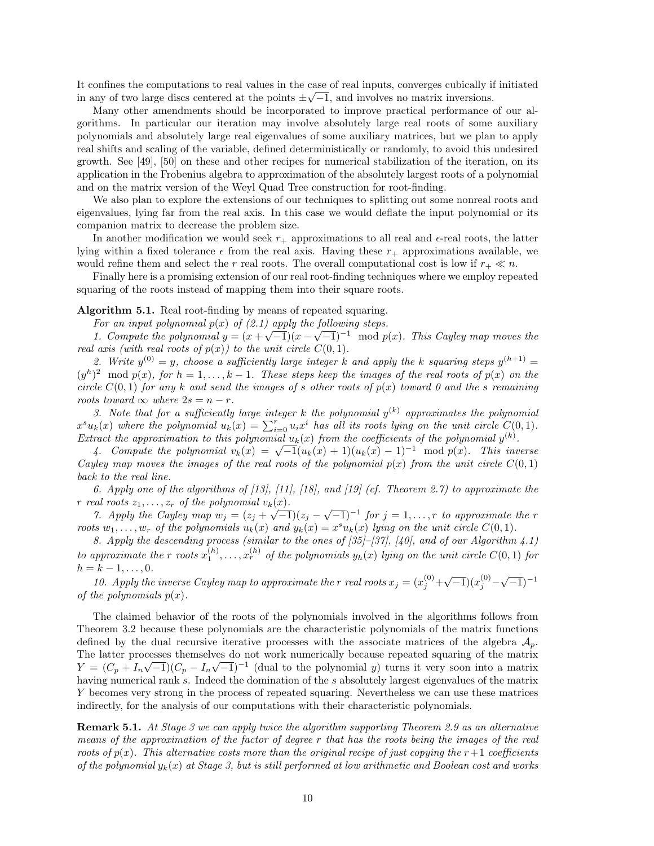It confines the computations to real values in the case of real inputs, converges cubically if initiated  $\overline{(\mathcal{A})}$ in any of two large discs centered at the points  $\pm \sqrt{-1}$ , and involves no matrix inversions.

Many other amendments should be incorporated to improve practical performance of our algorithms. In particular our iteration may involve absolutely large real roots of some auxiliary polynomials and absolutely large real eigenvalues of some auxiliary matrices, but we plan to apply real shifts and scaling of the variable, defined deterministically or randomly, to avoid this undesired growth. See [49], [50] on these and other recipes for numerical stabilization of the iteration, on its application in the Frobenius algebra to approximation of the absolutely largest roots of a polynomial and on the matrix version of the Weyl Quad Tree construction for root-finding.

We also plan to explore the extensions of our techniques to splitting out some nonreal roots and eigenvalues, lying far from the real axis. In this case we would deflate the input polynomial or its companion matrix to decrease the problem size.

In another modification we would seek  $r_+$  approximations to all real and  $\epsilon$ -real roots, the latter lying within a fixed tolerance  $\epsilon$  from the real axis. Having these  $r_+$  approximations available, we would refine them and select the r real roots. The overall computational cost is low if  $r_+ \ll n$ .

Finally here is a promising extension of our real root-finding techniques where we employ repeated squaring of the roots instead of mapping them into their square roots.

#### Algorithm 5.1. Real root-finding by means of repeated squaring.

For an input polynomial  $p(x)$  of  $(2.1)$  apply the following steps.

1. Compute the polynomial  $y = (x + \sqrt{-1})(x - \sqrt{-1})^{-1} \mod p(x)$ . This Cayley map moves the real axis (with real roots of  $p(x)$ ) to the unit circle  $C(0, 1)$ .

2. Write  $y^{(0)} = y$ , choose a sufficiently large integer k and apply the k squaring steps  $y^{(h+1)} =$  $(y^h)^2 \mod p(x)$ , for  $h = 1, \ldots, k-1$ . These steps keep the images of the real roots of  $p(x)$  on the circle  $C(0, 1)$  for any k and send the images of s other roots of  $p(x)$  toward 0 and the s remaining roots toward  $\infty$  where  $2s = n - r$ .

3. Note that for a sufficiently large integer k the polynomial  $y^{(k)}$  approximates the polynomial  $x^s u_k(x)$  where the polynomial  $u_k(x) = \sum_{i=0}^r u_i x^i$  has all its roots lying on the unit circle  $C(0,1)$ . Extract the approximation to this polynomial  $u_k(x)$  from the coefficients of the polynomial  $y^{(k)}$ .

fact the approximation to this polynomial  $u_k(x)$  from the coefficients of the polynomial  $y^{\alpha}$ .<br>4. Compute the polynomial  $v_k(x) = \sqrt{-1}(u_k(x) + 1)(u_k(x) - 1)^{-1} \mod p(x)$ . This inverse Cayley map moves the images of the real roots of the polynomial  $p(x)$  from the unit circle  $C(0, 1)$ back to the real line.

6. Apply one of the algorithms of  $[13]$ ,  $[11]$ ,  $[18]$ , and  $[19]$  (cf. Theorem 2.7) to approximate the r real roots  $z_1, \ldots, z_r$  of the polynomial  $v_k(x)$ .

2*at roots*  $z_1, \ldots, z_r$  *of the potynomial*  $v_k(x)$ *.*<br>
7. Apply the Cayley map  $w_j = (z_j + \sqrt{-1})(z_j - \sqrt{-1})^{-1}$  for  $j = 1, \ldots, r$  to approximate the r roots  $w_1, \ldots, w_r$  of the polynomials  $u_k(x)$  and  $y_k(x) = x^s u_k(x)$  lying on the unit circle  $C(0, 1)$ .

8. Apply the descending process (similar to the ones of [35]–[37], [40], and of our Algorithm 4.1) to approximate the r roots  $x_1^{(h)}, \ldots, x_r^{(h)}$  of the polynomials  $y_h(x)$  lying on the unit circle  $C(0, 1)$  for  $h = k - 1, \ldots, 0.$ 

10. Apply the inverse Cayley map to approximate the r real roots  $x_j = (x_j^{(0)} + \sqrt{-1})(x_j^{(0)} - \sqrt{-1})^{-1}$ of the polynomials  $p(x)$ .

The claimed behavior of the roots of the polynomials involved in the algorithms follows from Theorem 3.2 because these polynomials are the characteristic polynomials of the matrix functions defined by the dual recursive iterative processes with the associate matrices of the algebra  $\mathcal{A}_p$ . The latter processes themselves do not work numerically because repeated squaring of the matrix  $Y = (C_p + I_n\sqrt{-1})(C_p - I_n\sqrt{-1})^{-1}$  (dual to the polynomial y) turns it very soon into a matrix having numerical rank s. Indeed the domination of the s absolutely largest eigenvalues of the matrix Y becomes very strong in the process of repeated squaring. Nevertheless we can use these matrices indirectly, for the analysis of our computations with their characteristic polynomials.

Remark 5.1. At Stage 3 we can apply twice the algorithm supporting Theorem 2.9 as an alternative means of the approximation of the factor of degree r that has the roots being the images of the real roots of  $p(x)$ . This alternative costs more than the original recipe of just copying the  $r+1$  coefficients of the polynomial  $y_k(x)$  at Stage 3, but is still performed at low arithmetic and Boolean cost and works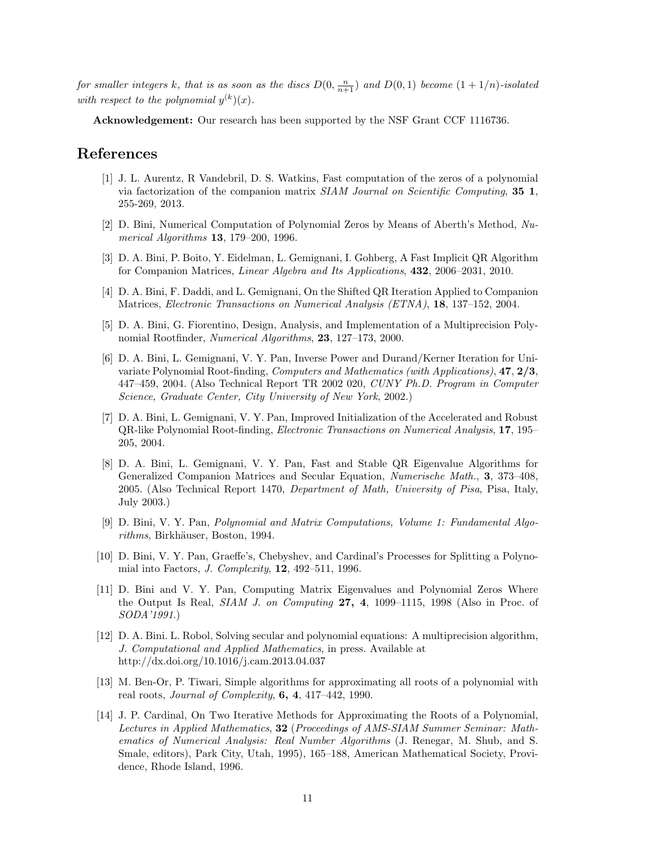for smaller integers k, that is as soon as the discs  $D(0, \frac{n}{n+1})$  and  $D(0, 1)$  become  $(1 + 1/n)$ -isolated with respect to the polynomial  $y^{(k)}(x)$ .

Acknowledgement: Our research has been supported by the NSF Grant CCF 1116736.

### References

- [1] J. L. Aurentz, R Vandebril, D. S. Watkins, Fast computation of the zeros of a polynomial via factorization of the companion matrix SIAM Journal on Scientific Computing, 35 1, 255-269, 2013.
- [2] D. Bini, Numerical Computation of Polynomial Zeros by Means of Aberth's Method, Numerical Algorithms 13, 179–200, 1996.
- [3] D. A. Bini, P. Boito, Y. Eidelman, L. Gemignani, I. Gohberg, A Fast Implicit QR Algorithm for Companion Matrices, Linear Algebra and Its Applications, 432, 2006–2031, 2010.
- [4] D. A. Bini, F. Daddi, and L. Gemignani, On the Shifted QR Iteration Applied to Companion Matrices, Electronic Transactions on Numerical Analysis (ETNA), 18, 137–152, 2004.
- [5] D. A. Bini, G. Fiorentino, Design, Analysis, and Implementation of a Multiprecision Polynomial Rootfinder, Numerical Algorithms, 23, 127–173, 2000.
- [6] D. A. Bini, L. Gemignani, V. Y. Pan, Inverse Power and Durand/Kerner Iteration for Univariate Polynomial Root-finding, Computers and Mathematics (with Applications), 47, 2/3, 447–459, 2004. (Also Technical Report TR 2002 020, CUNY Ph.D. Program in Computer Science, Graduate Center, City University of New York, 2002.)
- [7] D. A. Bini, L. Gemignani, V. Y. Pan, Improved Initialization of the Accelerated and Robust QR-like Polynomial Root-finding, Electronic Transactions on Numerical Analysis, 17, 195– 205, 2004.
- [8] D. A. Bini, L. Gemignani, V. Y. Pan, Fast and Stable QR Eigenvalue Algorithms for Generalized Companion Matrices and Secular Equation, Numerische Math., 3, 373–408, 2005. (Also Technical Report 1470, Department of Math, University of Pisa, Pisa, Italy, July 2003.)
- [9] D. Bini, V. Y. Pan, Polynomial and Matrix Computations, Volume 1: Fundamental Algorithms, Birkhäuser, Boston, 1994.
- [10] D. Bini, V. Y. Pan, Graeffe's, Chebyshev, and Cardinal's Processes for Splitting a Polynomial into Factors, J. Complexity, 12, 492–511, 1996.
- [11] D. Bini and V. Y. Pan, Computing Matrix Eigenvalues and Polynomial Zeros Where the Output Is Real, SIAM J. on Computing 27, 4, 1099–1115, 1998 (Also in Proc. of SODA'1991.)
- [12] D. A. Bini. L. Robol, Solving secular and polynomial equations: A multiprecision algorithm, J. Computational and Applied Mathematics, in press. Available at http://dx.doi.org/10.1016/j.cam.2013.04.037
- [13] M. Ben-Or, P. Tiwari, Simple algorithms for approximating all roots of a polynomial with real roots, *Journal of Complexity*,  $6, 4, 417-442, 1990$ .
- [14] J. P. Cardinal, On Two Iterative Methods for Approximating the Roots of a Polynomial, Lectures in Applied Mathematics, 32 (Proceedings of AMS-SIAM Summer Seminar: Mathematics of Numerical Analysis: Real Number Algorithms (J. Renegar, M. Shub, and S. Smale, editors), Park City, Utah, 1995), 165–188, American Mathematical Society, Providence, Rhode Island, 1996.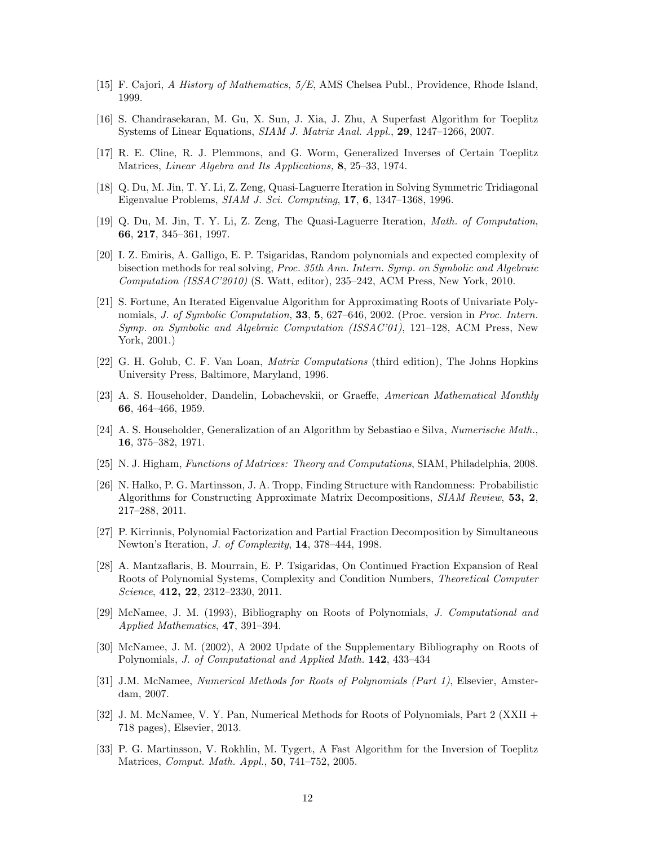- [15] F. Cajori, A History of Mathematics, 5/E, AMS Chelsea Publ., Providence, Rhode Island, 1999.
- [16] S. Chandrasekaran, M. Gu, X. Sun, J. Xia, J. Zhu, A Superfast Algorithm for Toeplitz Systems of Linear Equations, SIAM J. Matrix Anal. Appl., 29, 1247–1266, 2007.
- [17] R. E. Cline, R. J. Plemmons, and G. Worm, Generalized Inverses of Certain Toeplitz Matrices, Linear Algebra and Its Applications, 8, 25–33, 1974.
- [18] Q. Du, M. Jin, T. Y. Li, Z. Zeng, Quasi-Laguerre Iteration in Solving Symmetric Tridiagonal Eigenvalue Problems, SIAM J. Sci. Computing, 17, 6, 1347–1368, 1996.
- [19] Q. Du, M. Jin, T. Y. Li, Z. Zeng, The Quasi-Laguerre Iteration, Math. of Computation, 66, 217, 345–361, 1997.
- [20] I. Z. Emiris, A. Galligo, E. P. Tsigaridas, Random polynomials and expected complexity of bisection methods for real solving, Proc. 35th Ann. Intern. Symp. on Symbolic and Algebraic Computation (ISSAC'2010) (S. Watt, editor), 235–242, ACM Press, New York, 2010.
- [21] S. Fortune, An Iterated Eigenvalue Algorithm for Approximating Roots of Univariate Polynomials, J. of Symbolic Computation, 33, 5, 627–646, 2002. (Proc. version in Proc. Intern. Symp. on Symbolic and Algebraic Computation (ISSAC'01), 121–128, ACM Press, New York, 2001.)
- [22] G. H. Golub, C. F. Van Loan, Matrix Computations (third edition), The Johns Hopkins University Press, Baltimore, Maryland, 1996.
- [23] A. S. Householder, Dandelin, Lobachevskii, or Graeffe, American Mathematical Monthly 66, 464–466, 1959.
- [24] A. S. Householder, Generalization of an Algorithm by Sebastiao e Silva, Numerische Math., 16, 375–382, 1971.
- [25] N. J. Higham, Functions of Matrices: Theory and Computations, SIAM, Philadelphia, 2008.
- [26] N. Halko, P. G. Martinsson, J. A. Tropp, Finding Structure with Randomness: Probabilistic Algorithms for Constructing Approximate Matrix Decompositions, SIAM Review, 53, 2, 217–288, 2011.
- [27] P. Kirrinnis, Polynomial Factorization and Partial Fraction Decomposition by Simultaneous Newton's Iteration, J. of Complexity, 14, 378–444, 1998.
- [28] A. Mantzaflaris, B. Mourrain, E. P. Tsigaridas, On Continued Fraction Expansion of Real Roots of Polynomial Systems, Complexity and Condition Numbers, Theoretical Computer Science, **412, 22**, 2312-2330, 2011.
- [29] McNamee, J. M. (1993), Bibliography on Roots of Polynomials, J. Computational and Applied Mathematics, 47, 391–394.
- [30] McNamee, J. M. (2002), A 2002 Update of the Supplementary Bibliography on Roots of Polynomials, J. of Computational and Applied Math. 142, 433–434
- [31] J.M. McNamee, Numerical Methods for Roots of Polynomials (Part 1), Elsevier, Amsterdam, 2007.
- [32] J. M. McNamee, V. Y. Pan, Numerical Methods for Roots of Polynomials, Part 2 (XXII + 718 pages), Elsevier, 2013.
- [33] P. G. Martinsson, V. Rokhlin, M. Tygert, A Fast Algorithm for the Inversion of Toeplitz Matrices, Comput. Math. Appl., 50, 741–752, 2005.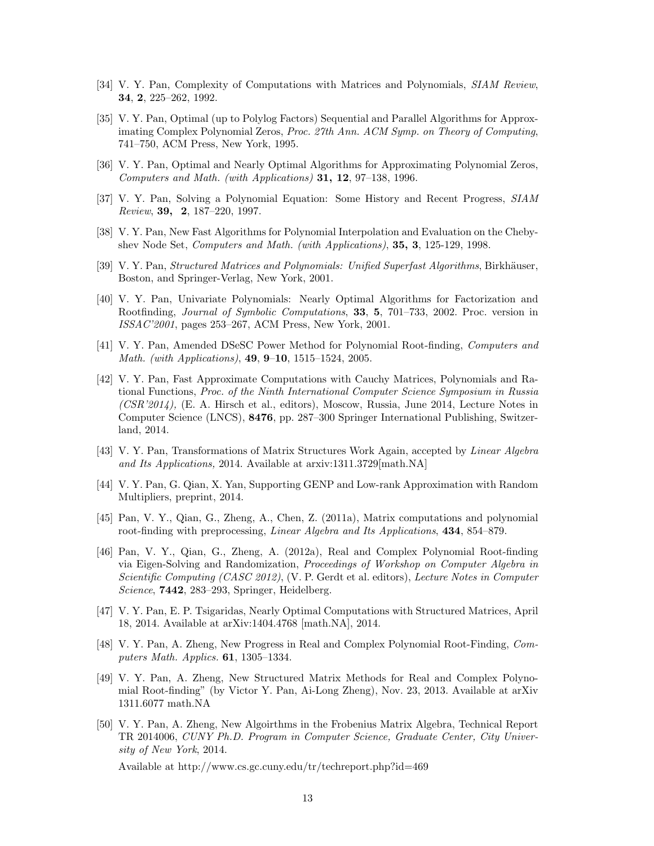- [34] V. Y. Pan, Complexity of Computations with Matrices and Polynomials, *SIAM Review*, 34, 2, 225–262, 1992.
- [35] V. Y. Pan, Optimal (up to Polylog Factors) Sequential and Parallel Algorithms for Approximating Complex Polynomial Zeros, Proc. 27th Ann. ACM Symp. on Theory of Computing, 741–750, ACM Press, New York, 1995.
- [36] V. Y. Pan, Optimal and Nearly Optimal Algorithms for Approximating Polynomial Zeros, Computers and Math. (with Applications) 31, 12, 97–138, 1996.
- [37] V. Y. Pan, Solving a Polynomial Equation: Some History and Recent Progress, SIAM Review, 39, 2, 187–220, 1997.
- [38] V. Y. Pan, New Fast Algorithms for Polynomial Interpolation and Evaluation on the Chebyshev Node Set, Computers and Math. (with Applications), 35, 3, 125-129, 1998.
- [39] V. Y. Pan, *Structured Matrices and Polynomials: Unified Superfast Algorithms*, Birkhäuser, Boston, and Springer-Verlag, New York, 2001.
- [40] V. Y. Pan, Univariate Polynomials: Nearly Optimal Algorithms for Factorization and Rootfinding, Journal of Symbolic Computations, 33, 5, 701–733, 2002. Proc. version in ISSAC'2001, pages 253–267, ACM Press, New York, 2001.
- [41] V. Y. Pan, Amended DSeSC Power Method for Polynomial Root-finding, Computers and Math. (with Applications), 49, 9–10, 1515–1524, 2005.
- [42] V. Y. Pan, Fast Approximate Computations with Cauchy Matrices, Polynomials and Rational Functions, Proc. of the Ninth International Computer Science Symposium in Russia  $(CSR'2014)$ , (E. A. Hirsch et al., editors), Moscow, Russia, June 2014, Lecture Notes in Computer Science (LNCS), 8476, pp. 287–300 Springer International Publishing, Switzerland, 2014.
- [43] V. Y. Pan, Transformations of Matrix Structures Work Again, accepted by Linear Algebra and Its Applications, 2014. Available at arxiv:1311.3729[math.NA]
- [44] V. Y. Pan, G. Qian, X. Yan, Supporting GENP and Low-rank Approximation with Random Multipliers, preprint, 2014.
- [45] Pan, V. Y., Qian, G., Zheng, A., Chen, Z. (2011a), Matrix computations and polynomial root-finding with preprocessing, Linear Algebra and Its Applications, 434, 854–879.
- [46] Pan, V. Y., Qian, G., Zheng, A. (2012a), Real and Complex Polynomial Root-finding via Eigen-Solving and Randomization, Proceedings of Workshop on Computer Algebra in Scientific Computing (CASC 2012), (V. P. Gerdt et al. editors), Lecture Notes in Computer Science, 7442, 283–293, Springer, Heidelberg.
- [47] V. Y. Pan, E. P. Tsigaridas, Nearly Optimal Computations with Structured Matrices, April 18, 2014. Available at arXiv:1404.4768 [math.NA], 2014.
- [48] V. Y. Pan, A. Zheng, New Progress in Real and Complex Polynomial Root-Finding, Computers Math. Applics. 61, 1305–1334.
- [49] V. Y. Pan, A. Zheng, New Structured Matrix Methods for Real and Complex Polynomial Root-finding" (by Victor Y. Pan, Ai-Long Zheng), Nov. 23, 2013. Available at arXiv 1311.6077 math.NA
- [50] V. Y. Pan, A. Zheng, New Algoirthms in the Frobenius Matrix Algebra, Technical Report TR 2014006, CUNY Ph.D. Program in Computer Science, Graduate Center, City University of New York, 2014.

Available at http://www.cs.gc.cuny.edu/tr/techreport.php?id=469